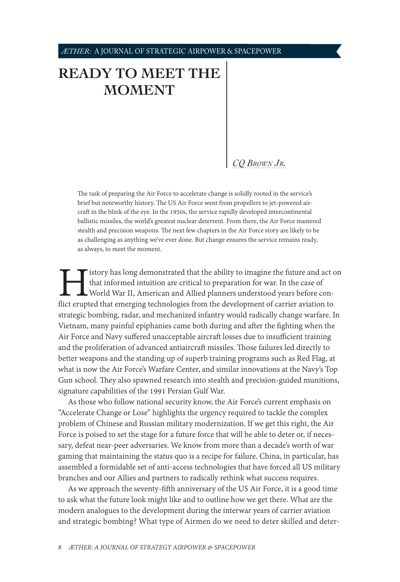# <span id="page-0-1"></span>**[READY TO MEET THE](#page-0-0)  [MOMENT](#page-0-0)**

# *[CQ Brown Jr.](#page-4-0)*

The task of preparing the Air Force to accelerate change is solidly rooted in the service's brief but noteworthy history. The US Air Force went from propellers to jet-powered aircraft in the blink of the eye. In the 1950s, the service rapidly developed intercontinental ballistic missiles, the world's greatest nuclear deterrent. From there, the Air Force mastered stealth and precision weapons. The next few chapters in the Air Force story are likely to be as challenging as anything we've ever done. But change ensures the service remains ready, as always, to meet the moment.

I istory has long demonstrated that the ability to imagine the future and act on that informed intuition are critical to preparation for war. In the case of World War II, American and Allied planners understood years befor that informed intuition are critical to preparation for war. In the case of World War II, American and Allied planners understood years before conflict erupted that emerging technologies from the development of carrier aviation to strategic bombing, radar, and mechanized infantry would radically change warfare. In Vietnam, many painful epiphanies came both during and after the fighting when the Air Force and Navy suffered unacceptable aircraft losses due to insufficient training and the proliferation of advanced antiaircraft missiles. Those failures led directly to better weapons and the standing up of superb training programs such as Red Flag, at what is now the Air Force's Warfare Center, and similar innovations at the Navy's Top Gun school. They also spawned research into stealth and precision-guided munitions, signature capabilities of the 1991 Persian Gulf War.

As those who follow national security know, the Air Force's current emphasis on "Accelerate Change or Lose" highlights the urgency required to tackle the complex problem of Chinese and Russian military modernization. If we get this right, the Air Force is poised to set the stage for a future force that will be able to deter or, if necessary, defeat near-peer adversaries. We know from more than a decade's worth of war gaming that maintaining the status quo is a recipe for failure. China, in particular, has assembled a formidable set of anti-access technologies that have forced all US military branches and our Allies and partners to radically rethink what success requires.

<span id="page-0-0"></span>As we approach the seventy-fifth anniversary of the US Air Force, it is a good time to ask what the future look might like and to outline how we get there. What are the modern analogues to the development during the interwar years of carrier aviation and strategic bombing? What type of Airmen do we need to deter skilled and deter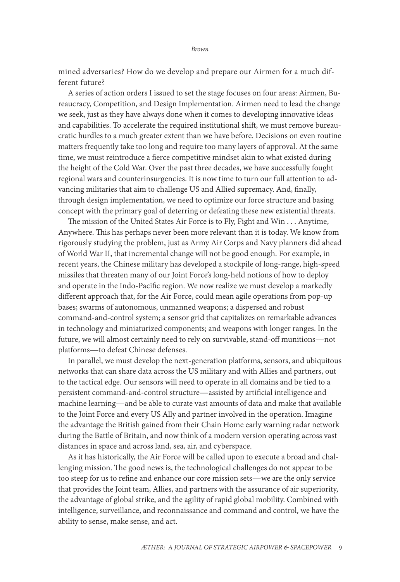mined adversaries? How do we develop and prepare our Airmen for a much different future?

A series of action orders I issued to set the stage focuses on four areas: Airmen, Bureaucracy, Competition, and Design Implementation. Airmen need to lead the change we seek, just as they have always done when it comes to developing innovative ideas and capabilities. To accelerate the required institutional shift, we must remove bureaucratic hurdles to a much greater extent than we have before. Decisions on even routine matters frequently take too long and require too many layers of approval. At the same time, we must reintroduce a fierce competitive mindset akin to what existed during the height of the Cold War. Over the past three decades, we have successfully fought regional wars and counterinsurgencies. It is now time to turn our full attention to advancing militaries that aim to challenge US and Allied supremacy. And, finally, through design implementation, we need to optimize our force structure and basing concept with the primary goal of deterring or defeating these new existential threats.

The mission of the United States Air Force is to Fly, Fight and Win . . . Anytime, Anywhere. This has perhaps never been more relevant than it is today. We know from rigorously studying the problem, just as Army Air Corps and Navy planners did ahead of World War II, that incremental change will not be good enough. For example, in recent years, the Chinese military has developed a stockpile of long-range, high-speed missiles that threaten many of our Joint Force's long-held notions of how to deploy and operate in the Indo-Pacific region. We now realize we must develop a markedly different approach that, for the Air Force, could mean agile operations from pop-up bases; swarms of autonomous, unmanned weapons; a dispersed and robust command-and-control system; a sensor grid that capitalizes on remarkable advances in technology and miniaturized components; and weapons with longer ranges. In the future, we will almost certainly need to rely on survivable, stand-off munitions—not platforms—to defeat Chinese defenses.

In parallel, we must develop the next-generation platforms, sensors, and ubiquitous networks that can share data across the US military and with Allies and partners, out to the tactical edge. Our sensors will need to operate in all domains and be tied to a persistent command-and-control structure—assisted by artificial intelligence and machine learning—and be able to curate vast amounts of data and make that available to the Joint Force and every US Ally and partner involved in the operation. Imagine the advantage the British gained from their Chain Home early warning radar network during the Battle of Britain, and now think of a modern version operating across vast distances in space and across land, sea, air, and cyberspace.

As it has historically, the Air Force will be called upon to execute a broad and challenging mission. The good news is, the technological challenges do not appear to be too steep for us to refine and enhance our core mission sets—we are the only service that provides the Joint team, Allies, and partners with the assurance of air superiority, the advantage of global strike, and the agility of rapid global mobility. Combined with intelligence, surveillance, and reconnaissance and command and control, we have the ability to sense, make sense, and act.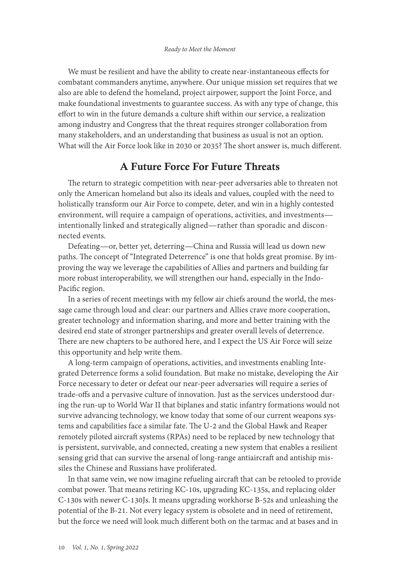We must be resilient and have the ability to create near-instantaneous effects for combatant commanders anytime, anywhere. Our unique mission set requires that we also are able to defend the homeland, project airpower, support the Joint Force, and make foundational investments to guarantee success. As with any type of change, this effort to win in the future demands a culture shift within our service, a realization among industry and Congress that the threat requires stronger collaboration from many stakeholders, and an understanding that business as usual is not an option. What will the Air Force look like in 2030 or 2035? The short answer is, much different.

# A Future Force For Future Threats

The return to strategic competition with near-peer adversaries able to threaten not only the American homeland but also its ideals and values, coupled with the need to holistically transform our Air Force to compete, deter, and win in a highly contested environment, will require a campaign of operations, activities, and investments intentionally linked and strategically aligned—rather than sporadic and disconnected events.

Defeating—or, better yet, deterring—China and Russia will lead us down new paths. The concept of "Integrated Deterrence" is one that holds great promise. By improving the way we leverage the capabilities of Allies and partners and building far more robust interoperability, we will strengthen our hand, especially in the Indo-Pacific region.

In a series of recent meetings with my fellow air chiefs around the world, the message came through loud and clear: our partners and Allies crave more cooperation, greater technology and information sharing, and more and better training with the desired end state of stronger partnerships and greater overall levels of deterrence. There are new chapters to be authored here, and I expect the US Air Force will seize this opportunity and help write them.

A long-term campaign of operations, activities, and investments enabling Integrated Deterrence forms a solid foundation. But make no mistake, developing the Air Force necessary to deter or defeat our near-peer adversaries will require a series of trade-offs and a pervasive culture of innovation. Just as the services understood during the run-up to World War II that biplanes and static infantry formations would not survive advancing technology, we know today that some of our current weapons systems and capabilities face a similar fate. The U-2 and the Global Hawk and Reaper remotely piloted aircraft systems (RPAs) need to be replaced by new technology that is persistent, survivable, and connected, creating a new system that enables a resilient sensing grid that can survive the arsenal of long-range antiaircraft and antiship missiles the Chinese and Russians have proliferated.

In that same vein, we now imagine refueling aircraft that can be retooled to provide combat power. That means retiring KC-10s, upgrading KC-135s, and replacing older C-130s with newer C-130Js. It means upgrading workhorse B-52s and unleashing the potential of the B-21. Not every legacy system is obsolete and in need of retirement, but the force we need will look much different both on the tarmac and at bases and in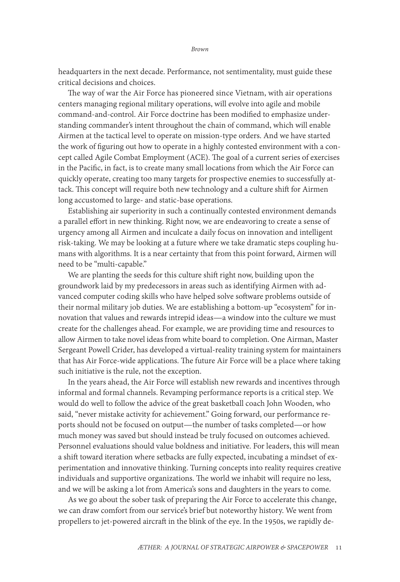headquarters in the next decade. Performance, not sentimentality, must guide these critical decisions and choices.

The way of war the Air Force has pioneered since Vietnam, with air operations centers managing regional military operations, will evolve into agile and mobile command-and-control. Air Force doctrine has been modified to emphasize understanding commander's intent throughout the chain of command, which will enable Airmen at the tactical level to operate on mission-type orders. And we have started the work of figuring out how to operate in a highly contested environment with a concept called Agile Combat Employment (ACE). The goal of a current series of exercises in the Pacific, in fact, is to create many small locations from which the Air Force can quickly operate, creating too many targets for prospective enemies to successfully attack. This concept will require both new technology and a culture shift for Airmen long accustomed to large- and static-base operations.

Establishing air superiority in such a continually contested environment demands a parallel effort in new thinking. Right now, we are endeavoring to create a sense of urgency among all Airmen and inculcate a daily focus on innovation and intelligent risk-taking. We may be looking at a future where we take dramatic steps coupling humans with algorithms. It is a near certainty that from this point forward, Airmen will need to be "multi-capable."

We are planting the seeds for this culture shift right now, building upon the groundwork laid by my predecessors in areas such as identifying Airmen with advanced computer coding skills who have helped solve software problems outside of their normal military job duties. We are establishing a bottom-up "ecosystem" for innovation that values and rewards intrepid ideas—a window into the culture we must create for the challenges ahead. For example, we are providing time and resources to allow Airmen to take novel ideas from white board to completion. One Airman, Master Sergeant Powell Crider, has developed a virtual-reality training system for maintainers that has Air Force-wide applications. The future Air Force will be a place where taking such initiative is the rule, not the exception.

In the years ahead, the Air Force will establish new rewards and incentives through informal and formal channels. Revamping performance reports is a critical step. We would do well to follow the advice of the great basketball coach John Wooden, who said, "never mistake activity for achievement." Going forward, our performance reports should not be focused on output—the number of tasks completed—or how much money was saved but should instead be truly focused on outcomes achieved. Personnel evaluations should value boldness and initiative. For leaders, this will mean a shift toward iteration where setbacks are fully expected, incubating a mindset of experimentation and innovative thinking. Turning concepts into reality requires creative individuals and supportive organizations. The world we inhabit will require no less, and we will be asking a lot from America's sons and daughters in the years to come.

As we go about the sober task of preparing the Air Force to accelerate this change, we can draw comfort from our service's brief but noteworthy history. We went from propellers to jet-powered aircraft in the blink of the eye. In the 1950s, we rapidly de-